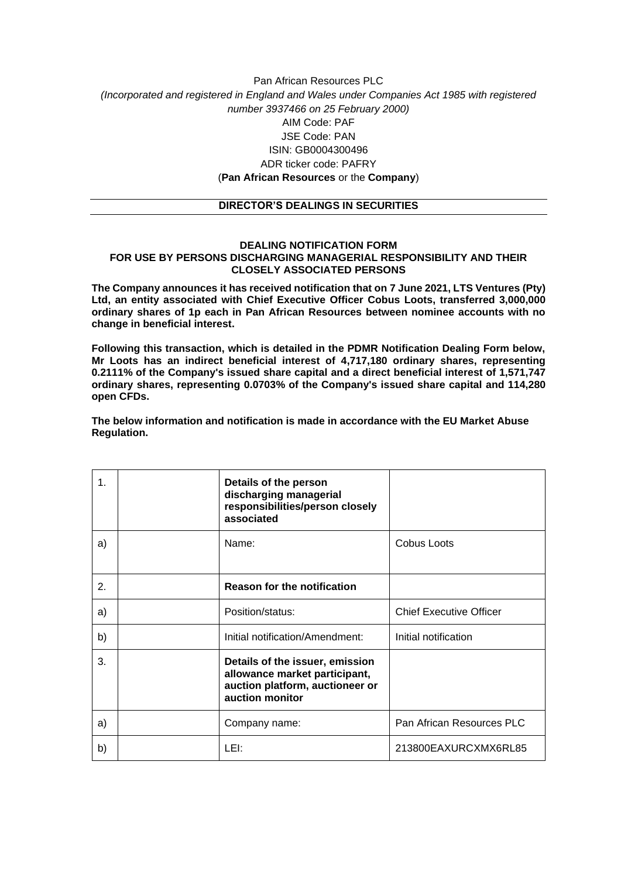## Pan African Resources PLC *(Incorporated and registered in England and Wales under Companies Act 1985 with registered number 3937466 on 25 February 2000)* AIM Code: PAF JSE Code: PAN ISIN: GB0004300496 ADR ticker code: PAFRY (**Pan African Resources** or the **Company**)

## **DIRECTOR'S DEALINGS IN SECURITIES**

## **DEALING NOTIFICATION FORM FOR USE BY PERSONS DISCHARGING MANAGERIAL RESPONSIBILITY AND THEIR CLOSELY ASSOCIATED PERSONS**

**The Company announces it has received notification that on 7 June 2021, LTS Ventures (Pty) Ltd, an entity associated with Chief Executive Officer Cobus Loots, transferred 3,000,000 ordinary shares of 1p each in Pan African Resources between nominee accounts with no change in beneficial interest.**

**Following this transaction, which is detailed in the PDMR Notification Dealing Form below, Mr Loots has an indirect beneficial interest of 4,717,180 ordinary shares, representing 0.2111% of the Company's issued share capital and a direct beneficial interest of 1,571,747 ordinary shares, representing 0.0703% of the Company's issued share capital and 114,280 open CFDs.**

**The below information and notification is made in accordance with the EU Market Abuse Regulation.**

| 1.               | Details of the person<br>discharging managerial<br>responsibilities/person closely<br>associated                       |                                |
|------------------|------------------------------------------------------------------------------------------------------------------------|--------------------------------|
| a)               | Name:                                                                                                                  | <b>Cobus Loots</b>             |
| $\overline{2}$ . | <b>Reason for the notification</b>                                                                                     |                                |
| a)               | Position/status:                                                                                                       | <b>Chief Executive Officer</b> |
| b)               | Initial notification/Amendment:                                                                                        | Initial notification           |
| 3.               | Details of the issuer, emission<br>allowance market participant,<br>auction platform, auctioneer or<br>auction monitor |                                |
| a)               | Company name:                                                                                                          | Pan African Resources PLC      |
| b)               | LEI:                                                                                                                   | 213800EAXURCXMX6RL85           |